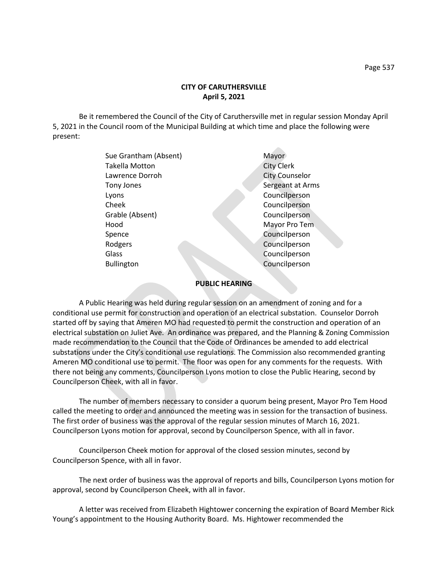Be it remembered the Council of the City of Caruthersville met in regular session Monday April 5, 2021 in the Council room of the Municipal Building at which time and place the following were present:

 $\sim$ 

| Sue Grantham (Absent) | Mayor                 |
|-----------------------|-----------------------|
| <b>Takella Motton</b> | <b>City Clerk</b>     |
| Lawrence Dorroh       | <b>City Counselor</b> |
| Tony Jones            | Sergeant at Arms      |
| Lyons                 | Councilperson         |
| Cheek                 | Councilperson         |
| Grable (Absent)       | Councilperson         |
| Hood                  | Mayor Pro Tem         |
| Spence                | Councilperson         |
| Rodgers               | Councilperson         |
| Glass                 | Councilperson         |
| <b>Bullington</b>     | Councilperson         |
|                       |                       |

## **PUBLIC HEARING**

A Public Hearing was held during regular session on an amendment of zoning and for a conditional use permit for construction and operation of an electrical substation. Counselor Dorroh started off by saying that Ameren MO had requested to permit the construction and operation of an electrical substation on Juliet Ave. An ordinance was prepared, and the Planning & Zoning Commission made recommendation to the Council that the Code of Ordinances be amended to add electrical substations under the City's conditional use regulations. The Commission also recommended granting Ameren MO conditional use to permit. The floor was open for any comments for the requests. With there not being any comments, Councilperson Lyons motion to close the Public Hearing, second by Councilperson Cheek, with all in favor.

The number of members necessary to consider a quorum being present, Mayor Pro Tem Hood called the meeting to order and announced the meeting was in session for the transaction of business. The first order of business was the approval of the regular session minutes of March 16, 2021. Councilperson Lyons motion for approval, second by Councilperson Spence, with all in favor.

Councilperson Cheek motion for approval of the closed session minutes, second by Councilperson Spence, with all in favor.

The next order of business was the approval of reports and bills, Councilperson Lyons motion for approval, second by Councilperson Cheek, with all in favor.

A letter was received from Elizabeth Hightower concerning the expiration of Board Member Rick Young's appointment to the Housing Authority Board. Ms. Hightower recommended the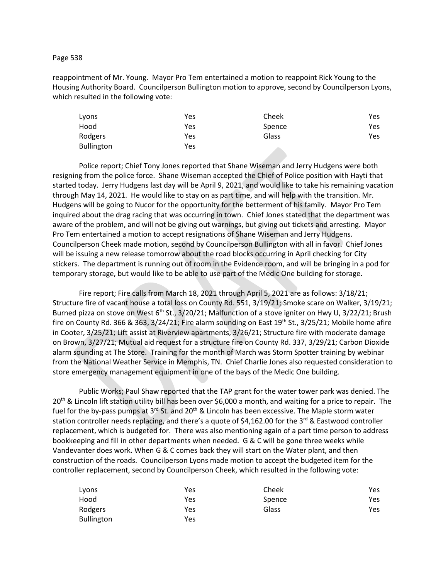Page 538

reappointment of Mr. Young. Mayor Pro Tem entertained a motion to reappoint Rick Young to the Housing Authority Board. Councilperson Bullington motion to approve, second by Councilperson Lyons, which resulted in the following vote:

| Lyons             | Yes | Cheek  | Yes |
|-------------------|-----|--------|-----|
| Hood              | Yes | Spence | Yes |
| Rodgers           | Yes | Glass  | Yes |
| <b>Bullington</b> | Yes |        |     |

Police report; Chief Tony Jones reported that Shane Wiseman and Jerry Hudgens were both resigning from the police force. Shane Wiseman accepted the Chief of Police position with Hayti that started today. Jerry Hudgens last day will be April 9, 2021, and would like to take his remaining vacation through May 14, 2021. He would like to stay on as part time, and will help with the transition. Mr. Hudgens will be going to Nucor for the opportunity for the betterment of his family. Mayor Pro Tem inquired about the drag racing that was occurring in town. Chief Jones stated that the department was aware of the problem, and will not be giving out warnings, but giving out tickets and arresting. Mayor Pro Tem entertained a motion to accept resignations of Shane Wiseman and Jerry Hudgens. Councilperson Cheek made motion, second by Councilperson Bullington with all in favor. Chief Jones will be issuing a new release tomorrow about the road blocks occurring in April checking for City stickers. The department is running out of room in the Evidence room, and will be bringing in a pod for temporary storage, but would like to be able to use part of the Medic One building for storage.

Fire report; Fire calls from March 18, 2021 through April 5, 2021 are as follows: 3/18/21; Structure fire of vacant house a total loss on County Rd. 551, 3/19/21; Smoke scare on Walker, 3/19/21; Burned pizza on stove on West 6<sup>th</sup> St., 3/20/21; Malfunction of a stove igniter on Hwy U, 3/22/21; Brush fire on County Rd. 366 & 363,  $3/24/21$ ; Fire alarm sounding on East 19<sup>th</sup> St.,  $3/25/21$ ; Mobile home afire in Cooter, 3/25/21; Lift assist at Riverview apartments, 3/26/21; Structure fire with moderate damage on Brown, 3/27/21; Mutual aid request for a structure fire on County Rd. 337, 3/29/21; Carbon Dioxide alarm sounding at The Store. Training for the month of March was Storm Spotter training by webinar from the National Weather Service in Memphis, TN. Chief Charlie Jones also requested consideration to store emergency management equipment in one of the bays of the Medic One building.

Public Works; Paul Shaw reported that the TAP grant for the water tower park was denied. The 20<sup>th</sup> & Lincoln lift station utility bill has been over \$6,000 a month, and waiting for a price to repair. The fuel for the by-pass pumps at 3<sup>rd</sup> St. and 20<sup>th</sup> & Lincoln has been excessive. The Maple storm water station controller needs replacing, and there's a quote of \$4,162.00 for the 3<sup>rd</sup> & Eastwood controller replacement, which is budgeted for. There was also mentioning again of a part time person to address bookkeeping and fill in other departments when needed. G & C will be gone three weeks while Vandevanter does work. When G & C comes back they will start on the Water plant, and then construction of the roads. Councilperson Lyons made motion to accept the budgeted item for the controller replacement, second by Councilperson Cheek, which resulted in the following vote:

| Lyons      | Yes | Cheek  | Yes  |
|------------|-----|--------|------|
| Hood       | Yes | Spence | Yes. |
| Rodgers    | Yes | Glass  | Yes  |
| Bullington | Yes |        |      |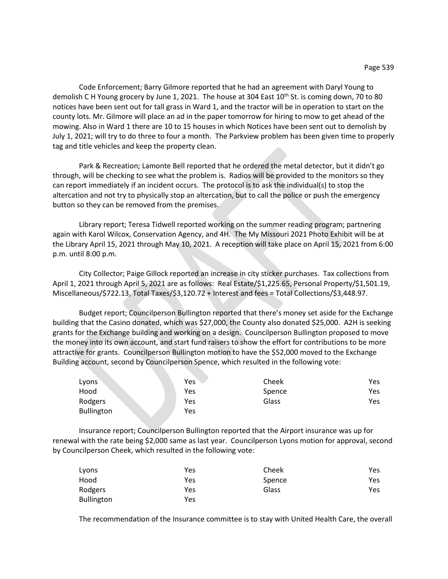Code Enforcement; Barry Gilmore reported that he had an agreement with Daryl Young to demolish C H Young grocery by June 1, 2021. The house at 304 East  $10^{th}$  St. is coming down, 70 to 80 notices have been sent out for tall grass in Ward 1, and the tractor will be in operation to start on the county lots. Mr. Gilmore will place an ad in the paper tomorrow for hiring to mow to get ahead of the mowing. Also in Ward 1 there are 10 to 15 houses in which Notices have been sent out to demolish by July 1, 2021; will try to do three to four a month. The Parkview problem has been given time to properly tag and title vehicles and keep the property clean.

Park & Recreation; Lamonte Bell reported that he ordered the metal detector, but it didn't go through, will be checking to see what the problem is. Radios will be provided to the monitors so they can report immediately if an incident occurs. The protocol is to ask the individual(s) to stop the altercation and not try to physically stop an altercation, but to call the police or push the emergency button so they can be removed from the premises.

Library report; Teresa Tidwell reported working on the summer reading program; partnering again with Karol Wilcox, Conservation Agency, and 4H. The My Missouri 2021 Photo Exhibit will be at the Library April 15, 2021 through May 10, 2021. A reception will take place on April 15, 2021 from 6:00 p.m. until 8:00 p.m.

City Collector; Paige Gillock reported an increase in city sticker purchases. Tax collections from April 1, 2021 through April 5, 2021 are as follows: Real Estate/\$1,225.65, Personal Property/\$1,501.19, Miscellaneous/\$722.13, Total Taxes/\$3,120.72 + Interest and fees = Total Collections/\$3,448.97.

Budget report; Councilperson Bullington reported that there's money set aside for the Exchange building that the Casino donated, which was \$27,000, the County also donated \$25,000. A2H is seeking grants for the Exchange building and working on a design. Councilperson Bullington proposed to move the money into its own account, and start fund raisers to show the effort for contributions to be more attractive for grants. Councilperson Bullington motion to have the \$52,000 moved to the Exchange Building account, second by Councilperson Spence, which resulted in the following vote:

| Lyons      | Yes | Cheek  | Yes |
|------------|-----|--------|-----|
| Hood       | Yes | Spence | Yes |
| Rodgers    | Yes | Glass  | Yes |
| Bullington | Yes |        |     |

Insurance report; Councilperson Bullington reported that the Airport insurance was up for renewal with the rate being \$2,000 same as last year. Councilperson Lyons motion for approval, second by Councilperson Cheek, which resulted in the following vote:

| Lyons             | Yes | Cheek  | Yes |
|-------------------|-----|--------|-----|
| Hood              | Yes | Spence | Yes |
| Rodgers           | Yes | Glass  | Yes |
| <b>Bullington</b> | Yes |        |     |

The recommendation of the Insurance committee is to stay with United Health Care, the overall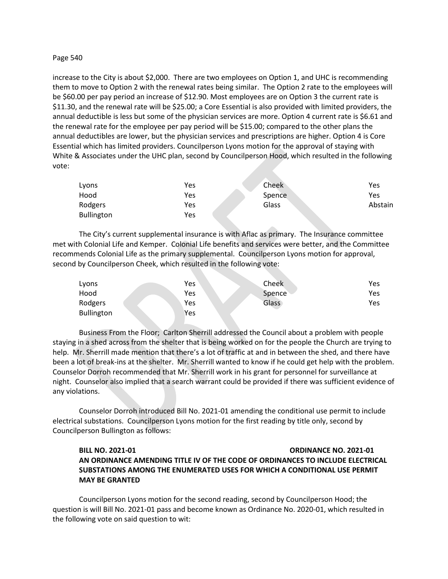## Page 540

increase to the City is about \$2,000. There are two employees on Option 1, and UHC is recommending them to move to Option 2 with the renewal rates being similar. The Option 2 rate to the employees will be \$60.00 per pay period an increase of \$12.90. Most employees are on Option 3 the current rate is \$11.30, and the renewal rate will be \$25.00; a Core Essential is also provided with limited providers, the annual deductible is less but some of the physician services are more. Option 4 current rate is \$6.61 and the renewal rate for the employee per pay period will be \$15.00; compared to the other plans the annual deductibles are lower, but the physician services and prescriptions are higher. Option 4 is Core Essential which has limited providers. Councilperson Lyons motion for the approval of staying with White & Associates under the UHC plan, second by Councilperson Hood, which resulted in the following vote:

| Lyons             | Yes | Cheek  | Yes     |
|-------------------|-----|--------|---------|
| Hood              | Yes | Spence | Yes     |
| Rodgers           | Yes | Glass  | Abstain |
| <b>Bullington</b> | Yes |        |         |

The City's current supplemental insurance is with Aflac as primary. The Insurance committee met with Colonial Life and Kemper. Colonial Life benefits and services were better, and the Committee recommends Colonial Life as the primary supplemental. Councilperson Lyons motion for approval, second by Councilperson Cheek, which resulted in the following vote:

| Lyons      | Yes | Cheek        | Yes |
|------------|-----|--------------|-----|
| Hood       | Yes | Spence       | Yes |
| Rodgers    | Yes | <b>Glass</b> | Yes |
| Bullington | Yes |              |     |

Business From the Floor; Carlton Sherrill addressed the Council about a problem with people staying in a shed across from the shelter that is being worked on for the people the Church are trying to help. Mr. Sherrill made mention that there's a lot of traffic at and in between the shed, and there have been a lot of break-ins at the shelter. Mr. Sherrill wanted to know if he could get help with the problem. Counselor Dorroh recommended that Mr. Sherrill work in his grant for personnel for surveillance at night. Counselor also implied that a search warrant could be provided if there was sufficient evidence of any violations.

Counselor Dorroh introduced Bill No. 2021-01 amending the conditional use permit to include electrical substations. Councilperson Lyons motion for the first reading by title only, second by Councilperson Bullington as follows:

## **BILL NO. 2021-01 ORDINANCE NO. 2021-01 AN ORDINANCE AMENDING TITLE IV OF THE CODE OF ORDINANCES TO INCLUDE ELECTRICAL SUBSTATIONS AMONG THE ENUMERATED USES FOR WHICH A CONDITIONAL USE PERMIT MAY BE GRANTED**

Councilperson Lyons motion for the second reading, second by Councilperson Hood; the question is will Bill No. 2021-01 pass and become known as Ordinance No. 2020-01, which resulted in the following vote on said question to wit: